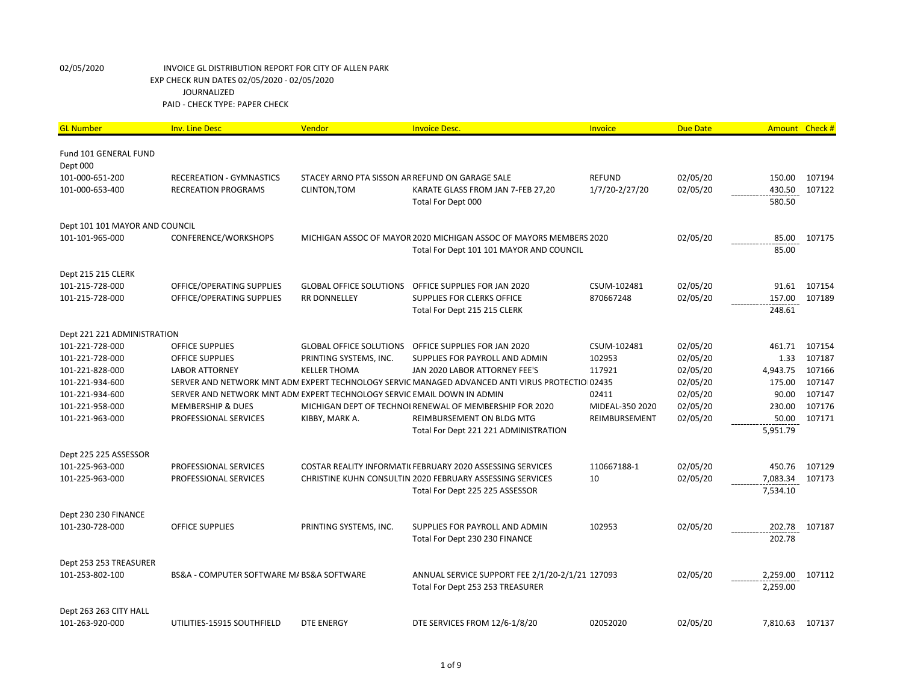| <b>GL Number</b>               | <b>Inv. Line Desc</b>                                                   | Vendor                                          | <b>Invoice Desc.</b>                                                                            | Invoice         | <b>Due Date</b> | Amount Check # |        |
|--------------------------------|-------------------------------------------------------------------------|-------------------------------------------------|-------------------------------------------------------------------------------------------------|-----------------|-----------------|----------------|--------|
| Fund 101 GENERAL FUND          |                                                                         |                                                 |                                                                                                 |                 |                 |                |        |
| Dept 000                       |                                                                         |                                                 |                                                                                                 |                 |                 |                |        |
| 101-000-651-200                | RECEREATION - GYMNASTICS                                                | STACEY ARNO PTA SISSON AR REFUND ON GARAGE SALE |                                                                                                 | <b>REFUND</b>   | 02/05/20        | 150.00         | 107194 |
| 101-000-653-400                | <b>RECREATION PROGRAMS</b>                                              | CLINTON, TOM                                    | KARATE GLASS FROM JAN 7-FEB 27,20                                                               | 1/7/20-2/27/20  | 02/05/20        | 430.50         | 107122 |
|                                |                                                                         |                                                 | Total For Dept 000                                                                              |                 |                 | 580.50         |        |
| Dept 101 101 MAYOR AND COUNCIL |                                                                         |                                                 |                                                                                                 |                 |                 |                |        |
| 101-101-965-000                | CONFERENCE/WORKSHOPS                                                    |                                                 | MICHIGAN ASSOC OF MAYOR 2020 MICHIGAN ASSOC OF MAYORS MEMBERS 2020                              |                 | 02/05/20        | 85.00          | 107175 |
|                                |                                                                         |                                                 | Total For Dept 101 101 MAYOR AND COUNCIL                                                        |                 |                 | 85.00          |        |
| Dept 215 215 CLERK             |                                                                         |                                                 |                                                                                                 |                 |                 |                |        |
| 101-215-728-000                | OFFICE/OPERATING SUPPLIES                                               | <b>GLOBAL OFFICE SOLUTIONS</b>                  | OFFICE SUPPLIES FOR JAN 2020                                                                    | CSUM-102481     | 02/05/20        | 91.61          | 107154 |
| 101-215-728-000                | OFFICE/OPERATING SUPPLIES                                               | RR DONNELLEY                                    | SUPPLIES FOR CLERKS OFFICE                                                                      | 870667248       | 02/05/20        | 157.00         | 107189 |
|                                |                                                                         |                                                 | Total For Dept 215 215 CLERK                                                                    |                 |                 | 248.61         |        |
| Dept 221 221 ADMINISTRATION    |                                                                         |                                                 |                                                                                                 |                 |                 |                |        |
| 101-221-728-000                | <b>OFFICE SUPPLIES</b>                                                  | <b>GLOBAL OFFICE SOLUTIONS</b>                  | OFFICE SUPPLIES FOR JAN 2020                                                                    | CSUM-102481     | 02/05/20        | 461.71         | 107154 |
| 101-221-728-000                | <b>OFFICE SUPPLIES</b>                                                  | PRINTING SYSTEMS, INC.                          | SUPPLIES FOR PAYROLL AND ADMIN                                                                  | 102953          | 02/05/20        | 1.33           | 107187 |
| 101-221-828-000                | <b>LABOR ATTORNEY</b>                                                   | <b>KELLER THOMA</b>                             | JAN 2020 LABOR ATTORNEY FEE'S                                                                   | 117921          | 02/05/20        | 4,943.75       | 107166 |
| 101-221-934-600                |                                                                         |                                                 | SERVER AND NETWORK MNT ADM EXPERT TECHNOLOGY SERVIC MANAGED ADVANCED ANTI VIRUS PROTECTIO 02435 |                 | 02/05/20        | 175.00         | 107147 |
| 101-221-934-600                | SERVER AND NETWORK MNT ADM EXPERT TECHNOLOGY SERVIC EMAIL DOWN IN ADMIN |                                                 |                                                                                                 | 02411           | 02/05/20        | 90.00          | 107147 |
| 101-221-958-000                | <b>MEMBERSHIP &amp; DUES</b>                                            |                                                 | MICHIGAN DEPT OF TECHNOI RENEWAL OF MEMBERSHIP FOR 2020                                         | MIDEAL-350 2020 | 02/05/20        | 230.00         | 107176 |
| 101-221-963-000                | PROFESSIONAL SERVICES                                                   | KIBBY, MARK A.                                  | REIMBURSEMENT ON BLDG MTG                                                                       | REIMBURSEMENT   | 02/05/20        | 50.00          | 107171 |
|                                |                                                                         |                                                 | Total For Dept 221 221 ADMINISTRATION                                                           |                 |                 | 5,951.79       |        |
| Dept 225 225 ASSESSOR          |                                                                         |                                                 |                                                                                                 |                 |                 |                |        |
| 101-225-963-000                | PROFESSIONAL SERVICES                                                   |                                                 | COSTAR REALITY INFORMATI(FEBRUARY 2020 ASSESSING SERVICES                                       | 110667188-1     | 02/05/20        | 450.76         | 107129 |
| 101-225-963-000                | PROFESSIONAL SERVICES                                                   |                                                 | CHRISTINE KUHN CONSULTIN 2020 FEBRUARY ASSESSING SERVICES                                       | 10              | 02/05/20        | 7,083.34       | 107173 |
|                                |                                                                         |                                                 | Total For Dept 225 225 ASSESSOR                                                                 |                 |                 | 7,534.10       |        |
| Dept 230 230 FINANCE           |                                                                         |                                                 |                                                                                                 |                 |                 |                |        |
| 101-230-728-000                | <b>OFFICE SUPPLIES</b>                                                  | PRINTING SYSTEMS, INC.                          | SUPPLIES FOR PAYROLL AND ADMIN                                                                  | 102953          | 02/05/20        | 202.78         | 107187 |
|                                |                                                                         |                                                 | Total For Dept 230 230 FINANCE                                                                  |                 |                 | 202.78         |        |
| Dept 253 253 TREASURER         |                                                                         |                                                 |                                                                                                 |                 |                 |                |        |
| 101-253-802-100                | BS&A - COMPUTER SOFTWARE M/ BS&A SOFTWARE                               |                                                 | ANNUAL SERVICE SUPPORT FEE 2/1/20-2/1/21 127093                                                 |                 | 02/05/20        | 2,259.00       | 107112 |
|                                |                                                                         |                                                 | Total For Dept 253 253 TREASURER                                                                |                 |                 | 2,259.00       |        |
| Dept 263 263 CITY HALL         |                                                                         |                                                 |                                                                                                 |                 |                 |                |        |
| 101-263-920-000                | UTILITIES-15915 SOUTHFIELD                                              | DTE ENERGY                                      | DTE SERVICES FROM 12/6-1/8/20                                                                   | 02052020        | 02/05/20        | 7,810.63       | 107137 |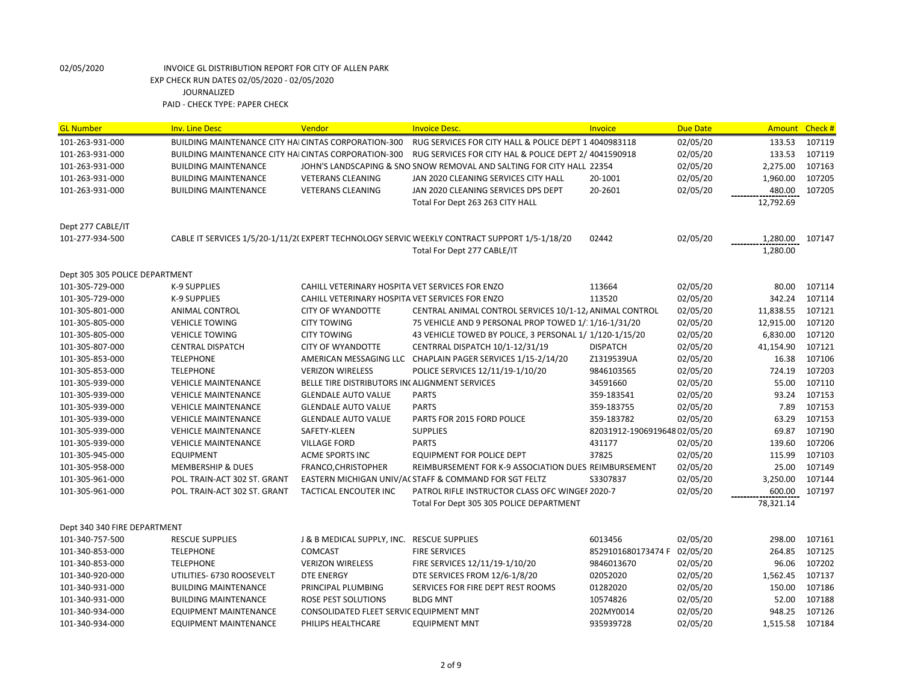| <b>GL Number</b>               | <b>Inv. Line Desc</b>                                      | Vendor                                          | <b>Invoice Desc.</b>                                                                          | Invoice                     | <b>Due Date</b> | Amount Check # |        |
|--------------------------------|------------------------------------------------------------|-------------------------------------------------|-----------------------------------------------------------------------------------------------|-----------------------------|-----------------|----------------|--------|
| 101-263-931-000                | <b>BUILDING MAINTENANCE CITY HAICINTAS CORPORATION-300</b> |                                                 | RUG SERVICES FOR CITY HALL & POLICE DEPT 1 4040983118                                         |                             | 02/05/20        | 133.53         | 107119 |
| 101-263-931-000                | <b>BUILDING MAINTENANCE CITY HAICINTAS CORPORATION-300</b> |                                                 | RUG SERVICES FOR CITY HAL & POLICE DEPT 2/ 4041590918                                         |                             | 02/05/20        | 133.53         | 107119 |
| 101-263-931-000                | <b>BUILDING MAINTENANCE</b>                                |                                                 | JOHN'S LANDSCAPING & SNO SNOW REMOVAL AND SALTING FOR CITY HALL 22354                         |                             | 02/05/20        | 2,275.00       | 107163 |
| 101-263-931-000                | <b>BUILDING MAINTENANCE</b>                                | <b>VETERANS CLEANING</b>                        | JAN 2020 CLEANING SERVICES CITY HALL                                                          | 20-1001                     | 02/05/20        | 1,960.00       | 107205 |
| 101-263-931-000                | <b>BUILDING MAINTENANCE</b>                                | <b>VETERANS CLEANING</b>                        | JAN 2020 CLEANING SERVICES DPS DEPT                                                           | 20-2601                     | 02/05/20        | 480.00         | 107205 |
|                                |                                                            |                                                 | Total For Dept 263 263 CITY HALL                                                              |                             |                 | 12,792.69      |        |
| Dept 277 CABLE/IT              |                                                            |                                                 |                                                                                               |                             |                 |                |        |
| 101-277-934-500                |                                                            |                                                 | CABLE IT SERVICES 1/5/20-1/11/2( EXPERT TECHNOLOGY SERVIC WEEKLY CONTRACT SUPPORT 1/5-1/18/20 | 02442                       | 02/05/20        | 1,280.00       | 107147 |
|                                |                                                            |                                                 | Total For Dept 277 CABLE/IT                                                                   |                             |                 | 1,280.00       |        |
| Dept 305 305 POLICE DEPARTMENT |                                                            |                                                 |                                                                                               |                             |                 |                |        |
| 101-305-729-000                | K-9 SUPPLIES                                               | CAHILL VETERINARY HOSPITA VET SERVICES FOR ENZO |                                                                                               | 113664                      | 02/05/20        | 80.00          | 107114 |
| 101-305-729-000                | K-9 SUPPLIES                                               | CAHILL VETERINARY HOSPITA VET SERVICES FOR ENZO |                                                                                               | 113520                      | 02/05/20        | 342.24         | 107114 |
| 101-305-801-000                | ANIMAL CONTROL                                             | <b>CITY OF WYANDOTTE</b>                        | CENTRAL ANIMAL CONTROL SERVICES 10/1-12, ANIMAL CONTROL                                       |                             | 02/05/20        | 11,838.55      | 107121 |
| 101-305-805-000                | <b>VEHICLE TOWING</b>                                      | <b>CITY TOWING</b>                              | 75 VEHICLE AND 9 PERSONAL PROP TOWED 1/ 1/16-1/31/20                                          |                             | 02/05/20        | 12,915.00      | 107120 |
| 101-305-805-000                | <b>VEHICLE TOWING</b>                                      | <b>CITY TOWING</b>                              | 43 VEHICLE TOWED BY POLICE, 3 PERSONAL 1/ 1/120-1/15/20                                       |                             | 02/05/20        | 6,830.00       | 107120 |
| 101-305-807-000                | <b>CENTRAL DISPATCH</b>                                    | <b>CITY OF WYANDOTTE</b>                        | CENTRRAL DISPATCH 10/1-12/31/19                                                               | <b>DISPATCH</b>             | 02/05/20        | 41,154.90      | 107121 |
| 101-305-853-000                | <b>TELEPHONE</b>                                           |                                                 | AMERICAN MESSAGING LLC CHAPLAIN PAGER SERVICES 1/15-2/14/20                                   | Z1319539UA                  | 02/05/20        | 16.38          | 107106 |
| 101-305-853-000                | <b>TELEPHONE</b>                                           | <b>VERIZON WIRELESS</b>                         | POLICE SERVICES 12/11/19-1/10/20                                                              | 9846103565                  | 02/05/20        | 724.19         | 107203 |
| 101-305-939-000                | <b>VEHICLE MAINTENANCE</b>                                 | BELLE TIRE DISTRIBUTORS IN ALIGNMENT SERVICES   |                                                                                               | 34591660                    | 02/05/20        | 55.00          | 107110 |
| 101-305-939-000                | <b>VEHICLE MAINTENANCE</b>                                 | <b>GLENDALE AUTO VALUE</b>                      | <b>PARTS</b>                                                                                  | 359-183541                  | 02/05/20        | 93.24          | 107153 |
| 101-305-939-000                | <b>VEHICLE MAINTENANCE</b>                                 | <b>GLENDALE AUTO VALUE</b>                      | <b>PARTS</b>                                                                                  | 359-183755                  | 02/05/20        | 7.89           | 107153 |
| 101-305-939-000                | <b>VEHICLE MAINTENANCE</b>                                 | <b>GLENDALE AUTO VALUE</b>                      | PARTS FOR 2015 FORD POLICE                                                                    | 359-183782                  | 02/05/20        | 63.29          | 107153 |
| 101-305-939-000                | <b>VEHICLE MAINTENANCE</b>                                 | SAFETY-KLEEN                                    | <b>SUPPLIES</b>                                                                               | 82031912-190691964802/05/20 |                 | 69.87          | 107190 |
| 101-305-939-000                | <b>VEHICLE MAINTENANCE</b>                                 | <b>VILLAGE FORD</b>                             | <b>PARTS</b>                                                                                  | 431177                      | 02/05/20        | 139.60         | 107206 |
| 101-305-945-000                | <b>EQUIPMENT</b>                                           | <b>ACME SPORTS INC</b>                          | <b>EQUIPMENT FOR POLICE DEPT</b>                                                              | 37825                       | 02/05/20        | 115.99         | 107103 |
| 101-305-958-000                | <b>MEMBERSHIP &amp; DUES</b>                               | FRANCO, CHRISTOPHER                             | REIMBURSEMENT FOR K-9 ASSOCIATION DUES REIMBURSEMENT                                          |                             | 02/05/20        | 25.00          | 107149 |
| 101-305-961-000                | POL. TRAIN-ACT 302 ST. GRANT                               |                                                 | EASTERN MICHIGAN UNIV/ACSTAFF & COMMAND FOR SGT FELTZ                                         | S3307837                    | 02/05/20        | 3,250.00       | 107144 |
| 101-305-961-000                | POL. TRAIN-ACT 302 ST. GRANT                               | TACTICAL ENCOUTER INC                           | PATROL RIFLE INSTRUCTOR CLASS OFC WINGEF 2020-7                                               |                             | 02/05/20        | 600.00         | 107197 |
|                                |                                                            |                                                 | Total For Dept 305 305 POLICE DEPARTMENT                                                      |                             |                 | 78,321.14      |        |
| Dept 340 340 FIRE DEPARTMENT   |                                                            |                                                 |                                                                                               |                             |                 |                |        |
| 101-340-757-500                | <b>RESCUE SUPPLIES</b>                                     | J & B MEDICAL SUPPLY, INC. RESCUE SUPPLIES      |                                                                                               | 6013456                     | 02/05/20        | 298.00         | 107161 |
| 101-340-853-000                | <b>TELEPHONE</b>                                           | <b>COMCAST</b>                                  | <b>FIRE SERVICES</b>                                                                          | 8529101680173474 F          | 02/05/20        | 264.85         | 107125 |
| 101-340-853-000                | <b>TELEPHONE</b>                                           | <b>VERIZON WIRELESS</b>                         | FIRE SERVICES 12/11/19-1/10/20                                                                | 9846013670                  | 02/05/20        | 96.06          | 107202 |
| 101-340-920-000                | UTILITIES- 6730 ROOSEVELT                                  | <b>DTE ENERGY</b>                               | DTE SERVICES FROM 12/6-1/8/20                                                                 | 02052020                    | 02/05/20        | 1,562.45       | 107137 |
| 101-340-931-000                | <b>BUILDING MAINTENANCE</b>                                | PRINCIPAL PLUMBING                              | SERVICES FOR FIRE DEPT REST ROOMS                                                             | 01282020                    | 02/05/20        | 150.00         | 107186 |
| 101-340-931-000                | <b>BUILDING MAINTENANCE</b>                                | <b>ROSE PEST SOLUTIONS</b>                      | <b>BLDG MNT</b>                                                                               | 10574826                    | 02/05/20        | 52.00          | 107188 |
| 101-340-934-000                | <b>EQUIPMENT MAINTENANCE</b>                               | CONSOLIDATED FLEET SERVIC EQUIPMENT MNT         |                                                                                               | 202MY0014                   | 02/05/20        | 948.25         | 107126 |
| 101-340-934-000                | <b>EQUIPMENT MAINTENANCE</b>                               | PHILIPS HEALTHCARE                              | <b>EQUIPMENT MNT</b>                                                                          | 935939728                   | 02/05/20        | 1,515.58       | 107184 |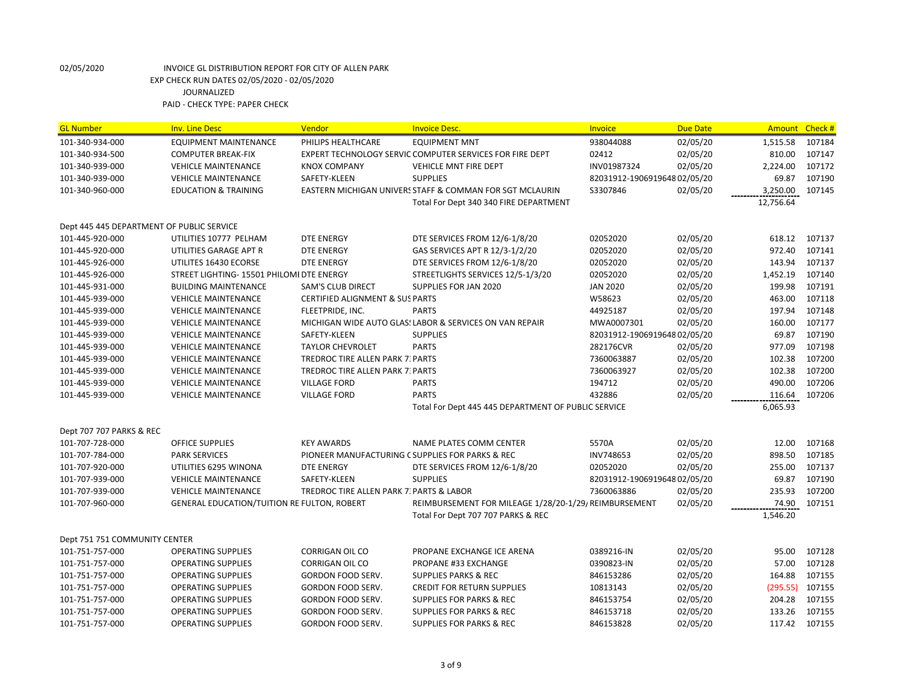| <b>GL Number</b>                          | <b>Inv. Line Desc</b>                              | Vendor                                           | <b>Invoice Desc.</b>                                     | Invoice                     | <b>Due Date</b> | Amount    | Check # |
|-------------------------------------------|----------------------------------------------------|--------------------------------------------------|----------------------------------------------------------|-----------------------------|-----------------|-----------|---------|
| 101-340-934-000                           | <b>EQUIPMENT MAINTENANCE</b>                       | PHILIPS HEALTHCARE                               | <b>EQUIPMENT MNT</b>                                     | 938044088                   | 02/05/20        | 1,515.58  | 107184  |
| 101-340-934-500                           | <b>COMPUTER BREAK-FIX</b>                          |                                                  | EXPERT TECHNOLOGY SERVIC COMPUTER SERVICES FOR FIRE DEPT | 02412                       | 02/05/20        | 810.00    | 107147  |
| 101-340-939-000                           | <b>VEHICLE MAINTENANCE</b>                         | <b>KNOX COMPANY</b>                              | VEHICLE MNT FIRE DEPT                                    | INV01987324                 | 02/05/20        | 2,224.00  | 107172  |
| 101-340-939-000                           | <b>VEHICLE MAINTENANCE</b>                         | SAFETY-KLEEN                                     | <b>SUPPLIES</b>                                          | 82031912-190691964802/05/20 |                 | 69.87     | 107190  |
| 101-340-960-000                           | <b>EDUCATION &amp; TRAINING</b>                    |                                                  | EASTERN MICHIGAN UNIVERS STAFF & COMMAN FOR SGT MCLAURIN | S3307846                    | 02/05/20        | 3,250.00  | 107145  |
|                                           |                                                    |                                                  | Total For Dept 340 340 FIRE DEPARTMENT                   |                             |                 | 12,756.64 |         |
|                                           |                                                    |                                                  |                                                          |                             |                 |           |         |
| Dept 445 445 DEPARTMENT OF PUBLIC SERVICE |                                                    |                                                  |                                                          |                             |                 |           |         |
| 101-445-920-000                           | UTILITIES 10777 PELHAM                             | <b>DTE ENERGY</b>                                | DTE SERVICES FROM 12/6-1/8/20                            | 02052020                    | 02/05/20        | 618.12    | 107137  |
| 101-445-920-000                           | UTILITIES GARAGE APT R                             | <b>DTE ENERGY</b>                                | GAS SERVICES APT R 12/3-1/2/20                           | 02052020                    | 02/05/20        | 972.40    | 107141  |
| 101-445-926-000                           | UTILITES 16430 ECORSE                              | <b>DTE ENERGY</b>                                | DTE SERVICES FROM 12/6-1/8/20                            | 02052020                    | 02/05/20        | 143.94    | 107137  |
| 101-445-926-000                           | STREET LIGHTING- 15501 PHILOMI DTE ENERGY          |                                                  | STREETLIGHTS SERVICES 12/5-1/3/20                        | 02052020                    | 02/05/20        | 1,452.19  | 107140  |
| 101-445-931-000                           | <b>BUILDING MAINTENANCE</b>                        | <b>SAM'S CLUB DIRECT</b>                         | SUPPLIES FOR JAN 2020                                    | <b>JAN 2020</b>             | 02/05/20        | 199.98    | 107191  |
| 101-445-939-000                           | <b>VEHICLE MAINTENANCE</b>                         | <b>CERTIFIED ALIGNMENT &amp; SUS PARTS</b>       |                                                          | W58623                      | 02/05/20        | 463.00    | 107118  |
| 101-445-939-000                           | <b>VEHICLE MAINTENANCE</b>                         | FLEETPRIDE, INC.                                 | <b>PARTS</b>                                             | 44925187                    | 02/05/20        | 197.94    | 107148  |
| 101-445-939-000                           | <b>VEHICLE MAINTENANCE</b>                         |                                                  | MICHIGAN WIDE AUTO GLAS! LABOR & SERVICES ON VAN REPAIR  | MWA0007301                  | 02/05/20        | 160.00    | 107177  |
| 101-445-939-000                           | <b>VEHICLE MAINTENANCE</b>                         | SAFETY-KLEEN                                     | <b>SUPPLIES</b>                                          | 82031912-190691964802/05/20 |                 | 69.87     | 107190  |
| 101-445-939-000                           | <b>VEHICLE MAINTENANCE</b>                         | <b>TAYLOR CHEVROLET</b>                          | <b>PARTS</b>                                             | 282176CVR                   | 02/05/20        | 977.09    | 107198  |
| 101-445-939-000                           | <b>VEHICLE MAINTENANCE</b>                         | TREDROC TIRE ALLEN PARK 7: PARTS                 |                                                          | 7360063887                  | 02/05/20        | 102.38    | 107200  |
| 101-445-939-000                           | <b>VEHICLE MAINTENANCE</b>                         | TREDROC TIRE ALLEN PARK 7: PARTS                 |                                                          | 7360063927                  | 02/05/20        | 102.38    | 107200  |
| 101-445-939-000                           | <b>VEHICLE MAINTENANCE</b>                         | <b>VILLAGE FORD</b>                              | <b>PARTS</b>                                             | 194712                      | 02/05/20        | 490.00    | 107206  |
| 101-445-939-000                           | <b>VEHICLE MAINTENANCE</b>                         | <b>VILLAGE FORD</b>                              | <b>PARTS</b>                                             | 432886                      | 02/05/20        | 116.64    | 107206  |
|                                           |                                                    |                                                  | Total For Dept 445 445 DEPARTMENT OF PUBLIC SERVICE      |                             |                 | 6,065.93  |         |
|                                           |                                                    |                                                  |                                                          |                             |                 |           |         |
| Dept 707 707 PARKS & REC                  |                                                    |                                                  |                                                          |                             |                 |           |         |
| 101-707-728-000                           | <b>OFFICE SUPPLIES</b>                             | <b>KEY AWARDS</b>                                | NAME PLATES COMM CENTER                                  | 5570A                       | 02/05/20        | 12.00     | 107168  |
| 101-707-784-000                           | <b>PARK SERVICES</b>                               | PIONEER MANUFACTURING C SUPPLIES FOR PARKS & REC |                                                          | INV748653                   | 02/05/20        | 898.50    | 107185  |
| 101-707-920-000                           | UTILITIES 6295 WINONA                              | <b>DTE ENERGY</b>                                | DTE SERVICES FROM 12/6-1/8/20                            | 02052020                    | 02/05/20        | 255.00    | 107137  |
| 101-707-939-000                           | <b>VEHICLE MAINTENANCE</b>                         | SAFETY-KLEEN                                     | <b>SUPPLIES</b>                                          | 82031912-190691964802/05/20 |                 | 69.87     | 107190  |
| 101-707-939-000                           | <b>VEHICLE MAINTENANCE</b>                         | TREDROC TIRE ALLEN PARK 7: PARTS & LABOR         |                                                          | 7360063886                  | 02/05/20        | 235.93    | 107200  |
| 101-707-960-000                           | <b>GENERAL EDUCATION/TUITION RE FULTON, ROBERT</b> |                                                  | REIMBURSEMENT FOR MILEAGE 1/28/20-1/29, REIMBURSEMENT    |                             | 02/05/20        | 74.90     | 107151  |
|                                           |                                                    |                                                  | Total For Dept 707 707 PARKS & REC                       |                             |                 | 1,546.20  |         |
| Dept 751 751 COMMUNITY CENTER             |                                                    |                                                  |                                                          |                             |                 |           |         |
| 101-751-757-000                           | <b>OPERATING SUPPLIES</b>                          | <b>CORRIGAN OIL CO</b>                           | PROPANE EXCHANGE ICE ARENA                               | 0389216-IN                  | 02/05/20        | 95.00     | 107128  |
| 101-751-757-000                           | <b>OPERATING SUPPLIES</b>                          | <b>CORRIGAN OIL CO</b>                           | PROPANE #33 EXCHANGE                                     | 0390823-IN                  | 02/05/20        | 57.00     | 107128  |
| 101-751-757-000                           | <b>OPERATING SUPPLIES</b>                          | GORDON FOOD SERV.                                | <b>SUPPLIES PARKS &amp; REC</b>                          | 846153286                   | 02/05/20        | 164.88    | 107155  |
| 101-751-757-000                           | <b>OPERATING SUPPLIES</b>                          | GORDON FOOD SERV.                                | <b>CREDIT FOR RETURN SUPPLIES</b>                        | 10813143                    | 02/05/20        | (295.55)  | 107155  |
| 101-751-757-000                           | <b>OPERATING SUPPLIES</b>                          | GORDON FOOD SERV.                                | <b>SUPPLIES FOR PARKS &amp; REC</b>                      | 846153754                   | 02/05/20        | 204.28    | 107155  |
| 101-751-757-000                           | <b>OPERATING SUPPLIES</b>                          | GORDON FOOD SERV.                                | <b>SUPPLIES FOR PARKS &amp; REC</b>                      | 846153718                   | 02/05/20        | 133.26    | 107155  |
| 101-751-757-000                           | <b>OPERATING SUPPLIES</b>                          | <b>GORDON FOOD SERV.</b>                         | <b>SUPPLIES FOR PARKS &amp; REC</b>                      | 846153828                   | 02/05/20        | 117.42    | 107155  |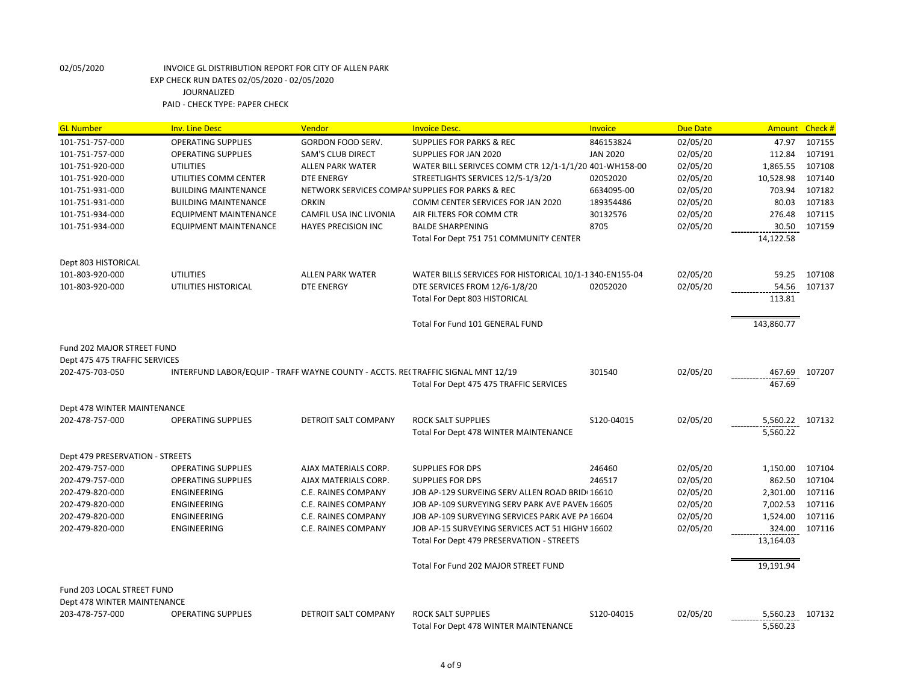| <b>GL Number</b>                | <b>Inv. Line Desc</b>                                                           | Vendor                      | <b>Invoice Desc.</b>                                   | <b>Invoice</b>  | <b>Due Date</b> | <b>Amount</b> | Check# |
|---------------------------------|---------------------------------------------------------------------------------|-----------------------------|--------------------------------------------------------|-----------------|-----------------|---------------|--------|
| 101-751-757-000                 | <b>OPERATING SUPPLIES</b>                                                       | <b>GORDON FOOD SERV.</b>    | <b>SUPPLIES FOR PARKS &amp; REC</b>                    | 846153824       | 02/05/20        | 47.97         | 107155 |
| 101-751-757-000                 | <b>OPERATING SUPPLIES</b>                                                       | <b>SAM'S CLUB DIRECT</b>    | <b>SUPPLIES FOR JAN 2020</b>                           | <b>JAN 2020</b> | 02/05/20        | 112.84        | 107191 |
| 101-751-920-000                 | <b>UTILITIES</b>                                                                | <b>ALLEN PARK WATER</b>     | WATER BILL SERIVCES COMM CTR 12/1-1/1/20 401-WH158-00  |                 | 02/05/20        | 1,865.55      | 107108 |
| 101-751-920-000                 | UTILITIES COMM CENTER                                                           | <b>DTE ENERGY</b>           | STREETLIGHTS SERVICES 12/5-1/3/20                      | 02052020        | 02/05/20        | 10,528.98     | 107140 |
| 101-751-931-000                 | <b>BUILDING MAINTENANCE</b>                                                     |                             | NETWORK SERVICES COMPAI SUPPLIES FOR PARKS & REC       | 6634095-00      | 02/05/20        | 703.94        | 107182 |
| 101-751-931-000                 | <b>BUILDING MAINTENANCE</b>                                                     | <b>ORKIN</b>                | COMM CENTER SERVICES FOR JAN 2020                      | 189354486       | 02/05/20        | 80.03         | 107183 |
| 101-751-934-000                 | <b>EQUIPMENT MAINTENANCE</b>                                                    | CAMFIL USA INC LIVONIA      | AIR FILTERS FOR COMM CTR                               | 30132576        | 02/05/20        | 276.48        | 107115 |
| 101-751-934-000                 | <b>EQUIPMENT MAINTENANCE</b>                                                    | <b>HAYES PRECISION INC</b>  | <b>BALDE SHARPENING</b>                                | 8705            | 02/05/20        | 30.50         | 107159 |
|                                 |                                                                                 |                             | Total For Dept 751 751 COMMUNITY CENTER                |                 |                 | 14,122.58     |        |
| Dept 803 HISTORICAL             |                                                                                 |                             |                                                        |                 |                 |               |        |
| 101-803-920-000                 | <b>UTILITIES</b>                                                                | <b>ALLEN PARK WATER</b>     | WATER BILLS SERVICES FOR HISTORICAL 10/1-1340-EN155-04 |                 | 02/05/20        | 59.25         | 107108 |
| 101-803-920-000                 | UTILITIES HISTORICAL                                                            | <b>DTE ENERGY</b>           | DTE SERVICES FROM 12/6-1/8/20                          | 02052020        | 02/05/20        | 54.56         | 107137 |
|                                 |                                                                                 |                             | Total For Dept 803 HISTORICAL                          |                 |                 | 113.81        |        |
|                                 |                                                                                 |                             |                                                        |                 |                 |               |        |
|                                 |                                                                                 |                             | Total For Fund 101 GENERAL FUND                        |                 |                 | 143,860.77    |        |
| Fund 202 MAJOR STREET FUND      |                                                                                 |                             |                                                        |                 |                 |               |        |
| Dept 475 475 TRAFFIC SERVICES   |                                                                                 |                             |                                                        |                 |                 |               |        |
| 202-475-703-050                 | INTERFUND LABOR/EQUIP - TRAFF WAYNE COUNTY - ACCTS. RECTRAFFIC SIGNAL MNT 12/19 |                             |                                                        | 301540          | 02/05/20        | 467.69        | 107207 |
|                                 |                                                                                 |                             | Total For Dept 475 475 TRAFFIC SERVICES                |                 |                 | 467.69        |        |
|                                 |                                                                                 |                             |                                                        |                 |                 |               |        |
| Dept 478 WINTER MAINTENANCE     |                                                                                 |                             |                                                        |                 |                 |               |        |
| 202-478-757-000                 | <b>OPERATING SUPPLIES</b>                                                       | <b>DETROIT SALT COMPANY</b> | <b>ROCK SALT SUPPLIES</b>                              | S120-04015      | 02/05/20        | 5,560.22      | 107132 |
|                                 |                                                                                 |                             | Total For Dept 478 WINTER MAINTENANCE                  |                 |                 | 5,560.22      |        |
| Dept 479 PRESERVATION - STREETS |                                                                                 |                             |                                                        |                 |                 |               |        |
| 202-479-757-000                 | <b>OPERATING SUPPLIES</b>                                                       | AJAX MATERIALS CORP.        | <b>SUPPLIES FOR DPS</b>                                | 246460          | 02/05/20        | 1,150.00      | 107104 |
| 202-479-757-000                 | <b>OPERATING SUPPLIES</b>                                                       | AJAX MATERIALS CORP.        | <b>SUPPLIES FOR DPS</b>                                | 246517          | 02/05/20        | 862.50        | 107104 |
| 202-479-820-000                 | ENGINEERING                                                                     | C.E. RAINES COMPANY         | JOB AP-129 SURVEING SERV ALLEN ROAD BRIDI 16610        |                 | 02/05/20        | 2,301.00      | 107116 |
| 202-479-820-000                 | ENGINEERING                                                                     | C.E. RAINES COMPANY         | JOB AP-109 SURVEYING SERV PARK AVE PAVEN 16605         |                 | 02/05/20        | 7,002.53      | 107116 |
| 202-479-820-000                 | ENGINEERING                                                                     | C.E. RAINES COMPANY         | JOB AP-109 SURVEYING SERVICES PARK AVE PA 16604        |                 | 02/05/20        | 1,524.00      | 107116 |
| 202-479-820-000                 | ENGINEERING                                                                     | C.E. RAINES COMPANY         | JOB AP-15 SURVEYING SERVICES ACT 51 HIGHV 16602        |                 | 02/05/20        | 324.00        | 107116 |
|                                 |                                                                                 |                             | Total For Dept 479 PRESERVATION - STREETS              |                 |                 | 13,164.03     |        |
|                                 |                                                                                 |                             |                                                        |                 |                 |               |        |
|                                 |                                                                                 |                             | Total For Fund 202 MAJOR STREET FUND                   |                 |                 | 19,191.94     |        |
| Fund 203 LOCAL STREET FUND      |                                                                                 |                             |                                                        |                 |                 |               |        |
| Dept 478 WINTER MAINTENANCE     |                                                                                 |                             |                                                        |                 |                 |               |        |
| 203-478-757-000                 | <b>OPERATING SUPPLIES</b>                                                       | DETROIT SALT COMPANY        | <b>ROCK SALT SUPPLIES</b>                              | S120-04015      | 02/05/20        | 5,560.23      | 107132 |
|                                 |                                                                                 |                             | Total For Dept 478 WINTER MAINTENANCE                  |                 |                 | 5,560.23      |        |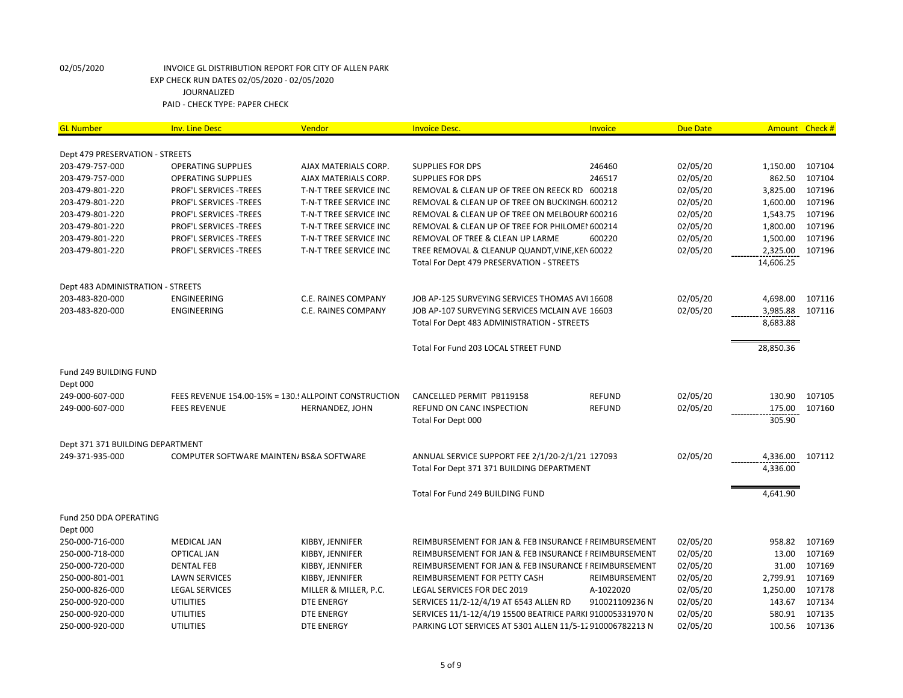| <b>GL Number</b>                  | <b>Inv. Line Desc</b>                    | Vendor                                               | <b>Invoice Desc.</b>                                      | <b>Invoice</b> | <b>Due Date</b> |           | Amount Check # |
|-----------------------------------|------------------------------------------|------------------------------------------------------|-----------------------------------------------------------|----------------|-----------------|-----------|----------------|
|                                   |                                          |                                                      |                                                           |                |                 |           |                |
| Dept 479 PRESERVATION - STREETS   |                                          |                                                      |                                                           |                |                 |           |                |
| 203-479-757-000                   | <b>OPERATING SUPPLIES</b>                | AJAX MATERIALS CORP.                                 | SUPPLIES FOR DPS                                          | 246460         | 02/05/20        | 1,150.00  | 107104         |
| 203-479-757-000                   | <b>OPERATING SUPPLIES</b>                | AJAX MATERIALS CORP.                                 | <b>SUPPLIES FOR DPS</b>                                   | 246517         | 02/05/20        | 862.50    | 107104         |
| 203-479-801-220                   | PROF'L SERVICES - TREES                  | T-N-T TREE SERVICE INC                               | REMOVAL & CLEAN UP OF TREE ON REECK RD 600218             |                | 02/05/20        | 3,825.00  | 107196         |
| 203-479-801-220                   | <b>PROF'L SERVICES -TREES</b>            | T-N-T TREE SERVICE INC                               | REMOVAL & CLEAN UP OF TREE ON BUCKINGH 600212             |                | 02/05/20        | 1,600.00  | 107196         |
| 203-479-801-220                   | PROF'L SERVICES - TREES                  | T-N-T TREE SERVICE INC                               | REMOVAL & CLEAN UP OF TREE ON MELBOURI 600216             |                | 02/05/20        | 1,543.75  | 107196         |
| 203-479-801-220                   | PROF'L SERVICES - TREES                  | T-N-T TREE SERVICE INC                               | REMOVAL & CLEAN UP OF TREE FOR PHILOMEI 600214            |                | 02/05/20        | 1,800.00  | 107196         |
| 203-479-801-220                   | <b>PROF'L SERVICES -TREES</b>            | T-N-T TREE SERVICE INC                               | REMOVAL OF TREE & CLEAN UP LARME                          | 600220         | 02/05/20        | 1,500.00  | 107196         |
| 203-479-801-220                   | <b>PROF'L SERVICES - TREES</b>           | T-N-T TREE SERVICE INC                               | TREE REMOVAL & CLEANUP QUANDT, VINE, KEN 60022            |                | 02/05/20        | 2,325.00  | 107196         |
|                                   |                                          |                                                      | Total For Dept 479 PRESERVATION - STREETS                 |                |                 | 14,606.25 |                |
| Dept 483 ADMINISTRATION - STREETS |                                          |                                                      |                                                           |                |                 |           |                |
| 203-483-820-000                   | ENGINEERING                              | C.E. RAINES COMPANY                                  | JOB AP-125 SURVEYING SERVICES THOMAS AVI 16608            |                | 02/05/20        | 4,698.00  | 107116         |
| 203-483-820-000                   | ENGINEERING                              | C.E. RAINES COMPANY                                  | JOB AP-107 SURVEYING SERVICES MCLAIN AVE 16603            |                | 02/05/20        | 3,985.88  | 107116         |
|                                   |                                          |                                                      | Total For Dept 483 ADMINISTRATION - STREETS               |                |                 | 8,683.88  |                |
|                                   |                                          |                                                      |                                                           |                |                 |           |                |
|                                   |                                          |                                                      | Total For Fund 203 LOCAL STREET FUND                      |                |                 | 28,850.36 |                |
| Fund 249 BUILDING FUND            |                                          |                                                      |                                                           |                |                 |           |                |
| Dept 000                          |                                          |                                                      |                                                           |                |                 |           |                |
| 249-000-607-000                   |                                          | FEES REVENUE 154.00-15% = 130. ALLPOINT CONSTRUCTION | CANCELLED PERMIT PB119158                                 | <b>REFUND</b>  | 02/05/20        | 130.90    | 107105         |
| 249-000-607-000                   | <b>FEES REVENUE</b>                      | HERNANDEZ, JOHN                                      | REFUND ON CANC INSPECTION                                 | <b>REFUND</b>  | 02/05/20        | 175.00    | 107160         |
|                                   |                                          |                                                      | Total For Dept 000                                        |                |                 | 305.90    |                |
|                                   |                                          |                                                      |                                                           |                |                 |           |                |
| Dept 371 371 BUILDING DEPARTMENT  |                                          |                                                      |                                                           |                |                 |           |                |
| 249-371-935-000                   | COMPUTER SOFTWARE MAINTEN/ BS&A SOFTWARE |                                                      | ANNUAL SERVICE SUPPORT FEE 2/1/20-2/1/21 127093           |                | 02/05/20        | 4,336.00  | 107112         |
|                                   |                                          |                                                      | Total For Dept 371 371 BUILDING DEPARTMENT                |                |                 | 4,336.00  |                |
|                                   |                                          |                                                      | Total For Fund 249 BUILDING FUND                          |                |                 | 4,641.90  |                |
| Fund 250 DDA OPERATING            |                                          |                                                      |                                                           |                |                 |           |                |
| Dept 000                          |                                          |                                                      |                                                           |                |                 |           |                |
| 250-000-716-000                   | <b>MEDICAL JAN</b>                       | KIBBY, JENNIFER                                      | REIMBURSEMENT FOR JAN & FEB INSURANCE FREIMBURSEMENT      |                | 02/05/20        | 958.82    | 107169         |
| 250-000-718-000                   | <b>OPTICAL JAN</b>                       | KIBBY, JENNIFER                                      | REIMBURSEMENT FOR JAN & FEB INSURANCE F REIMBURSEMENT     |                | 02/05/20        | 13.00     | 107169         |
| 250-000-720-000                   | <b>DENTAL FEB</b>                        | KIBBY, JENNIFER                                      | REIMBURSEMENT FOR JAN & FEB INSURANCE FREIMBURSEMENT      |                | 02/05/20        | 31.00     | 107169         |
| 250-000-801-001                   | <b>LAWN SERVICES</b>                     | KIBBY, JENNIFER                                      | REIMBURSEMENT FOR PETTY CASH                              | REIMBURSEMENT  | 02/05/20        | 2,799.91  | 107169         |
| 250-000-826-000                   | <b>LEGAL SERVICES</b>                    | MILLER & MILLER, P.C.                                | <b>LEGAL SERVICES FOR DEC 2019</b>                        | A-1022020      | 02/05/20        | 1,250.00  | 107178         |
| 250-000-920-000                   | <b>UTILITIES</b>                         | <b>DTE ENERGY</b>                                    | SERVICES 11/2-12/4/19 AT 6543 ALLEN RD                    | 910021109236 N | 02/05/20        | 143.67    | 107134         |
| 250-000-920-000                   | <b>UTILITIES</b>                         | <b>DTE ENERGY</b>                                    | SERVICES 11/1-12/4/19 15500 BEATRICE PARKI 910005331970 N |                | 02/05/20        | 580.91    | 107135         |
| 250-000-920-000                   | <b>UTILITIES</b>                         | <b>DTE ENERGY</b>                                    | PARKING LOT SERVICES AT 5301 ALLEN 11/5-12 910006782213 N |                | 02/05/20        | 100.56    | 107136         |
|                                   |                                          |                                                      |                                                           |                |                 |           |                |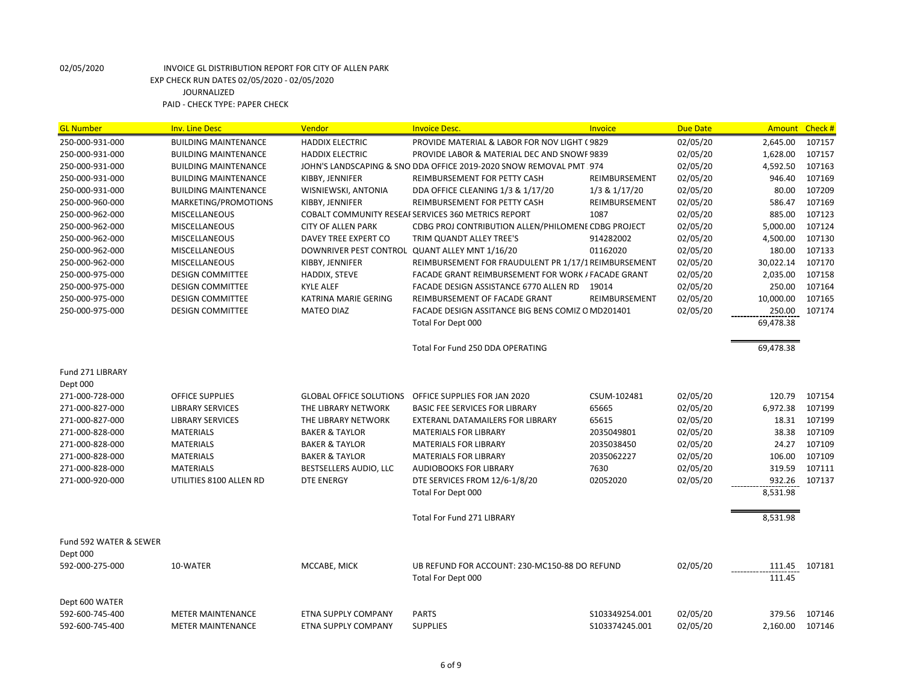| <b>GL Number</b>       | <b>Inv. Line Desc</b>       | Vendor                         | <b>Invoice Desc.</b>                                                | Invoice        | <b>Due Date</b> | <b>Amount</b>    | Check# |
|------------------------|-----------------------------|--------------------------------|---------------------------------------------------------------------|----------------|-----------------|------------------|--------|
| 250-000-931-000        | <b>BUILDING MAINTENANCE</b> | <b>HADDIX ELECTRIC</b>         | PROVIDE MATERIAL & LABOR FOR NOV LIGHT (9829)                       |                | 02/05/20        | 2,645.00         | 107157 |
| 250-000-931-000        | <b>BUILDING MAINTENANCE</b> | <b>HADDIX ELECTRIC</b>         | PROVIDE LABOR & MATERIAL DEC AND SNOWF 9839                         |                | 02/05/20        | 1,628.00         | 107157 |
| 250-000-931-000        | <b>BUILDING MAINTENANCE</b> |                                | JOHN'S LANDSCAPING & SNO DDA OFFICE 2019-2020 SNOW REMOVAL PMT 974  |                | 02/05/20        | 4,592.50         | 107163 |
| 250-000-931-000        | <b>BUILDING MAINTENANCE</b> | KIBBY, JENNIFER                | REIMBURSEMENT FOR PETTY CASH                                        | REIMBURSEMENT  | 02/05/20        | 946.40           | 107169 |
| 250-000-931-000        | <b>BUILDING MAINTENANCE</b> | WISNIEWSKI, ANTONIA            | DDA OFFICE CLEANING 1/3 & 1/17/20                                   | 1/3 & 1/17/20  | 02/05/20        | 80.00            | 107209 |
| 250-000-960-000        | MARKETING/PROMOTIONS        | KIBBY, JENNIFER                | REIMBURSEMENT FOR PETTY CASH                                        | REIMBURSEMENT  | 02/05/20        | 586.47           | 107169 |
| 250-000-962-000        | MISCELLANEOUS               |                                | COBALT COMMUNITY RESEAI SERVICES 360 METRICS REPORT                 | 1087           | 02/05/20        | 885.00           | 107123 |
| 250-000-962-000        | MISCELLANEOUS               | <b>CITY OF ALLEN PARK</b>      | CDBG PROJ CONTRIBUTION ALLEN/PHILOMENE CDBG PROJECT                 |                | 02/05/20        | 5,000.00         | 107124 |
| 250-000-962-000        | MISCELLANEOUS               | DAVEY TREE EXPERT CO           | TRIM QUANDT ALLEY TREE'S                                            | 914282002      | 02/05/20        | 4,500.00         | 107130 |
| 250-000-962-000        | MISCELLANEOUS               |                                | DOWNRIVER PEST CONTROL QUANT ALLEY MNT 1/16/20                      | 01162020       | 02/05/20        | 180.00           | 107133 |
| 250-000-962-000        | MISCELLANEOUS               | KIBBY, JENNIFER                | REIMBURSEMENT FOR FRAUDULENT PR 1/17/1 REIMBURSEMENT                |                | 02/05/20        | 30,022.14        | 107170 |
| 250-000-975-000        | <b>DESIGN COMMITTEE</b>     | HADDIX, STEVE                  | FACADE GRANT REIMBURSEMENT FOR WORK / FACADE GRANT                  |                | 02/05/20        | 2,035.00         | 107158 |
| 250-000-975-000        | <b>DESIGN COMMITTEE</b>     | <b>KYLE ALEF</b>               | FACADE DESIGN ASSISTANCE 6770 ALLEN RD                              | 19014          | 02/05/20        | 250.00           | 107164 |
| 250-000-975-000        | <b>DESIGN COMMITTEE</b>     | KATRINA MARIE GERING           | REIMBURSEMENT OF FACADE GRANT                                       | REIMBURSEMENT  | 02/05/20        | 10,000.00        | 107165 |
| 250-000-975-000        | <b>DESIGN COMMITTEE</b>     | <b>MATEO DIAZ</b>              | FACADE DESIGN ASSITANCE BIG BENS COMIZ O MD201401                   |                | 02/05/20        | 250.00           | 107174 |
|                        |                             |                                | Total For Dept 000                                                  |                |                 | 69,478.38        |        |
|                        |                             |                                | Total For Fund 250 DDA OPERATING                                    |                |                 | 69,478.38        |        |
| Fund 271 LIBRARY       |                             |                                |                                                                     |                |                 |                  |        |
| Dept 000               |                             |                                |                                                                     |                |                 |                  |        |
| 271-000-728-000        | OFFICE SUPPLIES             | <b>GLOBAL OFFICE SOLUTIONS</b> | OFFICE SUPPLIES FOR JAN 2020                                        | CSUM-102481    | 02/05/20        | 120.79           | 107154 |
| 271-000-827-000        | <b>LIBRARY SERVICES</b>     | THE LIBRARY NETWORK            | <b>BASIC FEE SERVICES FOR LIBRARY</b>                               | 65665          | 02/05/20        | 6,972.38         | 107199 |
| 271-000-827-000        | <b>LIBRARY SERVICES</b>     | THE LIBRARY NETWORK            | EXTERANL DATAMAILERS FOR LIBRARY                                    | 65615          | 02/05/20        | 18.31            | 107199 |
| 271-000-828-000        | <b>MATERIALS</b>            | <b>BAKER &amp; TAYLOR</b>      | <b>MATERIALS FOR LIBRARY</b>                                        | 2035049801     | 02/05/20        | 38.38            | 107109 |
| 271-000-828-000        | <b>MATERIALS</b>            | <b>BAKER &amp; TAYLOR</b>      | <b>MATERIALS FOR LIBRARY</b>                                        | 2035038450     | 02/05/20        | 24.27            | 107109 |
| 271-000-828-000        | <b>MATERIALS</b>            | <b>BAKER &amp; TAYLOR</b>      | <b>MATERIALS FOR LIBRARY</b>                                        | 2035062227     | 02/05/20        | 106.00           | 107109 |
| 271-000-828-000        | <b>MATERIALS</b>            | BESTSELLERS AUDIO, LLC         | <b>AUDIOBOOKS FOR LIBRARY</b>                                       | 7630           | 02/05/20        | 319.59           | 107111 |
| 271-000-920-000        | UTILITIES 8100 ALLEN RD     | <b>DTE ENERGY</b>              | DTE SERVICES FROM 12/6-1/8/20                                       | 02052020       | 02/05/20        | 932.26           | 107137 |
|                        |                             |                                | Total For Dept 000                                                  |                |                 | 8,531.98         |        |
|                        |                             |                                | <b>Total For Fund 271 LIBRARY</b>                                   |                |                 | 8,531.98         |        |
| Fund 592 WATER & SEWER |                             |                                |                                                                     |                |                 |                  |        |
| Dept 000               |                             |                                |                                                                     |                |                 |                  |        |
| 592-000-275-000        | 10-WATER                    | MCCABE, MICK                   | UB REFUND FOR ACCOUNT: 230-MC150-88 DO REFUND<br>Total For Dept 000 |                | 02/05/20        | 111.45<br>111.45 | 107181 |
|                        |                             |                                |                                                                     |                |                 |                  |        |
| Dept 600 WATER         |                             |                                |                                                                     |                |                 |                  |        |
| 592-600-745-400        | <b>METER MAINTENANCE</b>    | ETNA SUPPLY COMPANY            | <b>PARTS</b>                                                        | S103349254.001 | 02/05/20        | 379.56           | 107146 |
| 592-600-745-400        | <b>METER MAINTENANCE</b>    | ETNA SUPPLY COMPANY            | <b>SUPPLIES</b>                                                     | S103374245.001 | 02/05/20        | 2,160.00         | 107146 |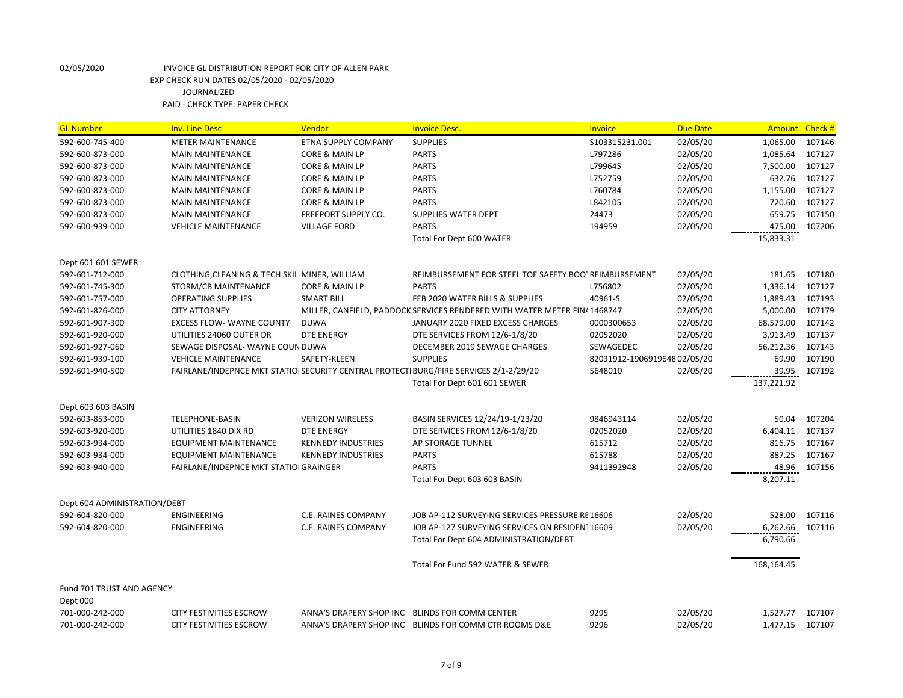| <b>GL Number</b>             | <b>Inv. Line Desc</b>                         | Vendor                     | <b>Invoice Desc.</b>                                                                   | Invoice                     | <b>Due Date</b> | <b>Amount</b> | Check# |
|------------------------------|-----------------------------------------------|----------------------------|----------------------------------------------------------------------------------------|-----------------------------|-----------------|---------------|--------|
| 592-600-745-400              | <b>METER MAINTENANCE</b>                      | ETNA SUPPLY COMPANY        | <b>SUPPLIES</b>                                                                        | \$103315231.001             | 02/05/20        | 1,065.00      | 107146 |
| 592-600-873-000              | <b>MAIN MAINTENANCE</b>                       | <b>CORE &amp; MAIN LP</b>  | <b>PARTS</b>                                                                           | L797286                     | 02/05/20        | 1,085.64      | 107127 |
| 592-600-873-000              | <b>MAIN MAINTENANCE</b>                       | CORE & MAIN LP             | <b>PARTS</b>                                                                           | L799645                     | 02/05/20        | 7,500.00      | 107127 |
| 592-600-873-000              | <b>MAIN MAINTENANCE</b>                       | <b>CORE &amp; MAIN LP</b>  | <b>PARTS</b>                                                                           | L752759                     | 02/05/20        | 632.76        | 107127 |
| 592-600-873-000              | <b>MAIN MAINTENANCE</b>                       | <b>CORE &amp; MAIN LP</b>  | <b>PARTS</b>                                                                           | L760784                     | 02/05/20        | 1,155.00      | 107127 |
| 592-600-873-000              | <b>MAIN MAINTENANCE</b>                       | <b>CORE &amp; MAIN LP</b>  | <b>PARTS</b>                                                                           | L842105                     | 02/05/20        | 720.60        | 107127 |
| 592-600-873-000              | <b>MAIN MAINTENANCE</b>                       | FREEPORT SUPPLY CO.        | SUPPLIES WATER DEPT                                                                    | 24473                       | 02/05/20        | 659.75        | 107150 |
| 592-600-939-000              | <b>VEHICLE MAINTENANCE</b>                    | <b>VILLAGE FORD</b>        | <b>PARTS</b>                                                                           | 194959                      | 02/05/20        | 475.00        | 107206 |
|                              |                                               |                            | Total For Dept 600 WATER                                                               |                             |                 | 15,833.31     |        |
| Dept 601 601 SEWER           |                                               |                            |                                                                                        |                             |                 |               |        |
| 592-601-712-000              | CLOTHING, CLEANING & TECH SKILIMINER, WILLIAM |                            | REIMBURSEMENT FOR STEEL TOE SAFETY BOO' REIMBURSEMENT                                  |                             | 02/05/20        | 181.65        | 107180 |
| 592-601-745-300              | STORM/CB MAINTENANCE                          | CORE & MAIN LP             | <b>PARTS</b>                                                                           | L756802                     | 02/05/20        | 1,336.14      | 107127 |
| 592-601-757-000              | <b>OPERATING SUPPLIES</b>                     | <b>SMART BILL</b>          | FEB 2020 WATER BILLS & SUPPLIES                                                        | 40961-S                     | 02/05/20        | 1,889.43      | 107193 |
| 592-601-826-000              | <b>CITY ATTORNEY</b>                          |                            | MILLER, CANFIELD, PADDOCK SERVICES RENDERED WITH WATER METER FIN/ 1468747              |                             | 02/05/20        | 5,000.00      | 107179 |
| 592-601-907-300              | <b>EXCESS FLOW- WAYNE COUNTY</b>              | <b>DUWA</b>                | JANUARY 2020 FIXED EXCESS CHARGES                                                      | 0000300653                  | 02/05/20        | 68,579.00     | 107142 |
| 592-601-920-000              | UTILITIES 24060 OUTER DR                      | <b>DTE ENERGY</b>          | DTE SERVICES FROM 12/6-1/8/20                                                          | 02052020                    | 02/05/20        | 3,913.49      | 107137 |
| 592-601-927-060              | SEWAGE DISPOSAL- WAYNE COUN DUWA              |                            | DECEMBER 2019 SEWAGE CHARGES                                                           | SEWAGEDEC                   | 02/05/20        | 56,212.36     | 107143 |
| 592-601-939-100              | <b>VEHICLE MAINTENANCE</b>                    | SAFETY-KLEEN               | <b>SUPPLIES</b>                                                                        | 82031912-190691964802/05/20 |                 | 69.90         | 107190 |
| 592-601-940-500              |                                               |                            | FAIRLANE/INDEPNCE MKT STATIOI SECURITY CENTRAL PROTECTI BURG/FIRE SERVICES 2/1-2/29/20 | 5648010                     | 02/05/20        | 39.95         | 107192 |
|                              |                                               |                            | Total For Dept 601 601 SEWER                                                           |                             |                 | 137,221.92    |        |
| Dept 603 603 BASIN           |                                               |                            |                                                                                        |                             |                 |               |        |
| 592-603-853-000              | TELEPHONE-BASIN                               | <b>VERIZON WIRELESS</b>    | BASIN SERVICES 12/24/19-1/23/20                                                        | 9846943114                  | 02/05/20        | 50.04         | 107204 |
| 592-603-920-000              | UTILITIES 1840 DIX RD                         | <b>DTE ENERGY</b>          | DTE SERVICES FROM 12/6-1/8/20                                                          | 02052020                    | 02/05/20        | 6,404.11      | 107137 |
| 592-603-934-000              | <b>EQUIPMENT MAINTENANCE</b>                  | <b>KENNEDY INDUSTRIES</b>  | AP STORAGE TUNNEL                                                                      | 615712                      | 02/05/20        | 816.75        | 107167 |
| 592-603-934-000              | <b>EQUIPMENT MAINTENANCE</b>                  | <b>KENNEDY INDUSTRIES</b>  | <b>PARTS</b>                                                                           | 615788                      | 02/05/20        | 887.25        | 107167 |
| 592-603-940-000              | FAIRLANE/INDEPNCE MKT STATIOI GRAINGER        |                            | <b>PARTS</b>                                                                           | 9411392948                  | 02/05/20        | 48.96         | 107156 |
|                              |                                               |                            | Total For Dept 603 603 BASIN                                                           |                             |                 | 8,207.11      |        |
| Dept 604 ADMINISTRATION/DEBT |                                               |                            |                                                                                        |                             |                 |               |        |
| 592-604-820-000              | <b>ENGINEERING</b>                            | <b>C.E. RAINES COMPANY</b> | JOB AP-112 SURVEYING SERVICES PRESSURE RE16606                                         |                             | 02/05/20        | 528.00        | 107116 |
| 592-604-820-000              | <b>ENGINEERING</b>                            | <b>C.E. RAINES COMPANY</b> | JOB AP-127 SURVEYING SERVICES ON RESIDENT 16609                                        |                             | 02/05/20        | 6,262.66      | 107116 |
|                              |                                               |                            | Total For Dept 604 ADMINISTRATION/DEBT                                                 |                             |                 | 6,790.66      |        |
|                              |                                               |                            | Total For Fund 592 WATER & SEWER                                                       |                             |                 | 168,164.45    |        |
| Fund 701 TRUST AND AGENCY    |                                               |                            |                                                                                        |                             |                 |               |        |
| Dept 000                     |                                               |                            |                                                                                        |                             |                 |               |        |
| 701-000-242-000              | <b>CITY FESTIVITIES ESCROW</b>                |                            | ANNA'S DRAPERY SHOP INC BLINDS FOR COMM CENTER                                         | 9295                        | 02/05/20        | 1,527.77      | 107107 |
| 701-000-242-000              | <b>CITY FESTIVITIES ESCROW</b>                |                            | ANNA'S DRAPERY SHOP INC BLINDS FOR COMM CTR ROOMS D&E                                  | 9296                        | 02/05/20        | 1,477.15      | 107107 |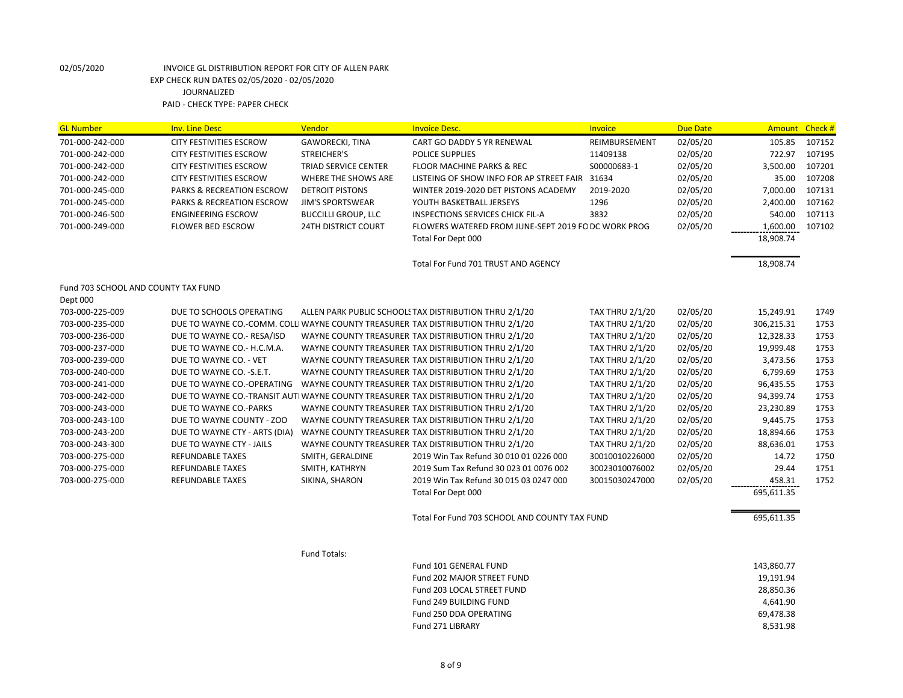| <b>GL Number</b>                    | <b>Inv. Line Desc</b>                | Vendor                      | <b>Invoice Desc.</b>                                                              | Invoice                | <b>Due Date</b> | Amount Check # |        |
|-------------------------------------|--------------------------------------|-----------------------------|-----------------------------------------------------------------------------------|------------------------|-----------------|----------------|--------|
| 701-000-242-000                     | <b>CITY FESTIVITIES ESCROW</b>       | <b>GAWORECKI, TINA</b>      | CART GO DADDY 5 YR RENEWAL                                                        | REIMBURSEMENT          | 02/05/20        | 105.85         | 107152 |
| 701-000-242-000                     | <b>CITY FESTIVITIES ESCROW</b>       | <b>STREICHER'S</b>          | POLICE SUPPLIES                                                                   | 11409138               | 02/05/20        | 722.97         | 107195 |
| 701-000-242-000                     | <b>CITY FESTIVITIES ESCROW</b>       | <b>TRIAD SERVICE CENTER</b> | <b>FLOOR MACHINE PARKS &amp; REC</b>                                              | S00000683-1            | 02/05/20        | 3,500.00       | 107201 |
| 701-000-242-000                     | <b>CITY FESTIVITIES ESCROW</b>       | WHERE THE SHOWS ARE         | LISTEING OF SHOW INFO FOR AP STREET FAIR 31634                                    |                        | 02/05/20        | 35.00          | 107208 |
| 701-000-245-000                     | <b>PARKS &amp; RECREATION ESCROW</b> | <b>DETROIT PISTONS</b>      | WINTER 2019-2020 DET PISTONS ACADEMY                                              | 2019-2020              | 02/05/20        | 7,000.00       | 107131 |
| 701-000-245-000                     | <b>PARKS &amp; RECREATION ESCROW</b> | <b>JIM'S SPORTSWEAR</b>     | YOUTH BASKETBALL JERSEYS                                                          | 1296                   | 02/05/20        | 2,400.00       | 107162 |
| 701-000-246-500                     | <b>ENGINEERING ESCROW</b>            | <b>BUCCILLI GROUP, LLC</b>  | INSPECTIONS SERVICES CHICK FIL-A                                                  | 3832                   | 02/05/20        | 540.00         | 107113 |
| 701-000-249-000                     | <b>FLOWER BED ESCROW</b>             | <b>24TH DISTRICT COURT</b>  | FLOWERS WATERED FROM JUNE-SEPT 2019 FO DC WORK PROG                               |                        | 02/05/20        | 1,600.00       | 107102 |
|                                     |                                      |                             | Total For Dept 000                                                                |                        |                 | 18,908.74      |        |
|                                     |                                      |                             | Total For Fund 701 TRUST AND AGENCY                                               |                        |                 | 18,908.74      |        |
| Fund 703 SCHOOL AND COUNTY TAX FUND |                                      |                             |                                                                                   |                        |                 |                |        |
| Dept 000                            |                                      |                             |                                                                                   |                        |                 |                |        |
| 703-000-225-009                     | DUE TO SCHOOLS OPERATING             |                             | ALLEN PARK PUBLIC SCHOOLS TAX DISTRIBUTION THRU 2/1/20                            | <b>TAX THRU 2/1/20</b> | 02/05/20        | 15,249.91      | 1749   |
| 703-000-235-000                     |                                      |                             | DUE TO WAYNE CO.-COMM. COLLIWAYNE COUNTY TREASURER TAX DISTRIBUTION THRU 2/1/20   | <b>TAX THRU 2/1/20</b> | 02/05/20        | 306,215.31     | 1753   |
| 703-000-236-000                     | DUE TO WAYNE CO. - RESA/ISD          |                             | WAYNE COUNTY TREASURER TAX DISTRIBUTION THRU 2/1/20                               | <b>TAX THRU 2/1/20</b> | 02/05/20        | 12,328.33      | 1753   |
| 703-000-237-000                     | DUE TO WAYNE CO.- H.C.M.A.           |                             | WAYNE COUNTY TREASURER TAX DISTRIBUTION THRU 2/1/20                               | <b>TAX THRU 2/1/20</b> | 02/05/20        | 19,999.48      | 1753   |
| 703-000-239-000                     | DUE TO WAYNE CO. - VET               |                             | WAYNE COUNTY TREASURER TAX DISTRIBUTION THRU 2/1/20                               | <b>TAX THRU 2/1/20</b> | 02/05/20        | 3,473.56       | 1753   |
| 703-000-240-000                     | DUE TO WAYNE CO. - S.E.T.            |                             | WAYNE COUNTY TREASURER TAX DISTRIBUTION THRU 2/1/20                               | <b>TAX THRU 2/1/20</b> | 02/05/20        | 6,799.69       | 1753   |
| 703-000-241-000                     | DUE TO WAYNE CO.-OPERATING           |                             | WAYNE COUNTY TREASURER TAX DISTRIBUTION THRU 2/1/20                               | <b>TAX THRU 2/1/20</b> | 02/05/20        | 96,435.55      | 1753   |
| 703-000-242-000                     |                                      |                             | DUE TO WAYNE CO.-TRANSIT AUTI WAYNE COUNTY TREASURER TAX DISTRIBUTION THRU 2/1/20 | <b>TAX THRU 2/1/20</b> | 02/05/20        | 94,399.74      | 1753   |
| 703-000-243-000                     | DUE TO WAYNE CO.-PARKS               |                             | WAYNE COUNTY TREASURER TAX DISTRIBUTION THRU 2/1/20                               | <b>TAX THRU 2/1/20</b> | 02/05/20        | 23,230.89      | 1753   |
| 703-000-243-100                     | DUE TO WAYNE COUNTY - ZOO            |                             | WAYNE COUNTY TREASURER TAX DISTRIBUTION THRU 2/1/20                               | <b>TAX THRU 2/1/20</b> | 02/05/20        | 9,445.75       | 1753   |
| 703-000-243-200                     | DUE TO WAYNE CTY - ARTS (DIA)        |                             | WAYNE COUNTY TREASURER TAX DISTRIBUTION THRU 2/1/20                               | <b>TAX THRU 2/1/20</b> | 02/05/20        | 18,894.66      | 1753   |
| 703-000-243-300                     | DUE TO WAYNE CTY - JAILS             |                             | WAYNE COUNTY TREASURER TAX DISTRIBUTION THRU 2/1/20                               | <b>TAX THRU 2/1/20</b> | 02/05/20        | 88,636.01      | 1753   |
| 703-000-275-000                     | <b>REFUNDABLE TAXES</b>              | SMITH, GERALDINE            | 2019 Win Tax Refund 30 010 01 0226 000                                            | 30010010226000         | 02/05/20        | 14.72          | 1750   |
| 703-000-275-000                     | <b>REFUNDABLE TAXES</b>              | SMITH, KATHRYN              | 2019 Sum Tax Refund 30 023 01 0076 002                                            | 30023010076002         | 02/05/20        | 29.44          | 1751   |
| 703-000-275-000                     | REFUNDABLE TAXES                     | SIKINA, SHARON              | 2019 Win Tax Refund 30 015 03 0247 000                                            | 30015030247000         | 02/05/20        | 458.31         | 1752   |
|                                     |                                      |                             | Total For Dept 000                                                                |                        |                 | 695,611.35     |        |
|                                     |                                      |                             | Total For Fund 703 SCHOOL AND COUNTY TAX FUND                                     |                        |                 | 695,611.35     |        |
|                                     |                                      |                             |                                                                                   |                        |                 |                |        |
|                                     |                                      | Fund Totals:                | Fund 101 GENERAL FUND                                                             |                        |                 | 143,860.77     |        |
|                                     |                                      |                             | Fund 202 MAJOR STREET FUND                                                        |                        |                 | 19,191.94      |        |
|                                     |                                      |                             | Fund 203 LOCAL STREET FUND                                                        |                        |                 | 28,850.36      |        |
|                                     |                                      |                             |                                                                                   |                        |                 |                |        |
|                                     |                                      |                             | <b>Fund 249 BUILDING FUND</b>                                                     |                        |                 | 4,641.90       |        |

Fund 250 DDA OPERATING 69,478.38 Fund 271 LIBRARY 8,531.98